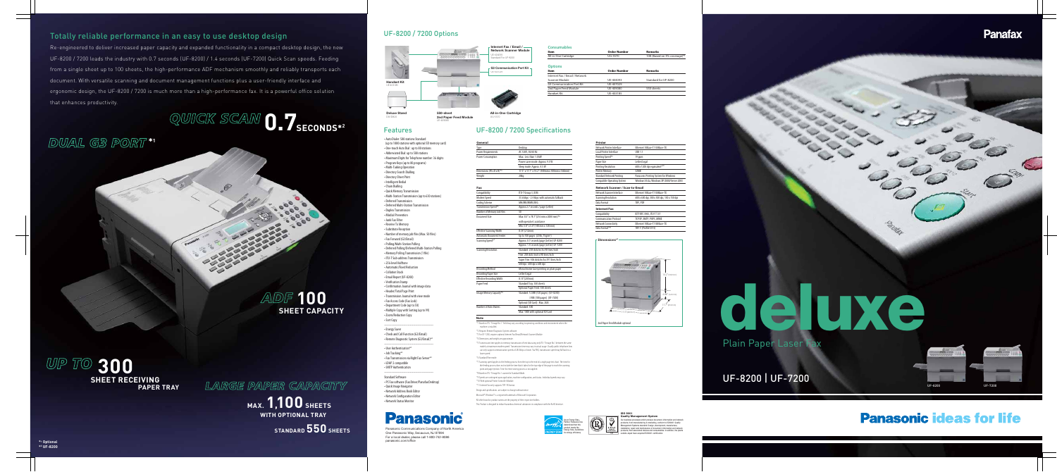# Paradox **deluxe** Plain Paper Laser Fax

## UF-8200 | UF-7200

# **Panasonic ideas for life**

## UF-8200 / 7200 Options

#### **ISO 9001 Quality Management System**

Our business processes which produce document, information and network products, from manufacturing to marketing, conform to ISO9001 Quality Management Systems standard. Design, development, manufacture, installation, repair and maintenance of document, information and network products, their associated devices and consumables. In addition, the plants outside Japan have acquired ISO9001 certification.

Panasonic Communications Company of North Americ One Panasonic Way, Secaucus, NJ 07094 For a local dealer, please call 1-800-742-8086 panasonic.com/office

#### **Options Consumables Item Order Number Remarks**  All-in-One Cartridge **10 Company 10K** (Based on 3% coverage)



Local Printer Interface USB 1.1

# *DUAL G3 PORT* **\*1**

## Totally reliable performance in an easy to use desktop design

**Note** \*1 Based on ITU-T Image No.1. Yield may vary according to operating conditions and environment where the machine is installed. \*2 Requires Remote Diagnostic System software. \*3 For UF-7200, requires optional Internet Fax/Email/Network Scanner Module. \*4 Dimensions and weight are approximate. \*5 Transmission time applies to memory transmission of text data using only ITU-T Image No.1 between the same models at maximum modem speed. Transmission time may vary in actual usage. Usually public telephone lines can only support communication speeds of 28.8 kbps or lower. Via PBX, transmission speed may fall back to a lower speed. \*6 Standard/Fine mode. \*7 Scanning speed applies to the feeding process from the top to the end of a single page test chart. The time for the feeding process does not include the time that it takes for the top edge of the page to reach the scanning point and page ejection. Time for entire storing process is not applied

 $Max: 100$ 

Re-engineered to deliver increased paper capacity and expanded functionality in a compact desktop design, the new UF-8200 / 7200 leads the industry with 0.7 seconds (UF-8200) / 1.4 seconds (UF-7200) Quick Scan speeds. Feeding from a single sheet up to 100 sheets, the high-performance ADF mechanism smoothly and reliably transports each document. With versatile scanning and document management functions plus a user-friendly interface and ergonomic design, the UF-8200 / 7200 is much more than a high-performance fax. It is a powerful office solution that enhances productivity.

QUICK SCAM **0.7SECONDS\*2** 

UF-8200 UF-7200

## **Panafax**





*LARGE PAPER CAPACITY*

#### **AC 120V** Max.: Le Power sa Sleep mo nensions (W x D x H)<sup>\*\*</sup>  $17.3"$  x 1 Weight 28kg **Fax**

## **MAX. 1,100 SHEETS WITH OPTIONAL TRAY**

**STANDARD 550 SHEETS**

## UF-8200 / 7200 Specifications

**General**

Number of Auto Diale

| Desktop                                       |
|-----------------------------------------------|
| AC 120V, 50/60 Hz                             |
| $Max \cdot$ Less than 1.0 kW                  |
| Power saver mode: Approx. 9.5 W               |
| Sleep mode: Approx. 4.5 W                     |
| 17.3" x 17.7" x 14.2" (440mm x 450mm x 360mm) |
| 28ka                                          |
|                                               |
|                                               |

| (SD Card): Max. 2GB      |
|--------------------------|
| :500                     |
| 00 with optional SD Card |
|                          |

 19 ppm Letter/Legal

Printing Resolution 600 x 1200 dpi equivalent Printer Memory 32MB

Compatibility **IETF RFC 3965, ITU-T T.37** Communication Protocol TCP/IP, SMTP, POP3, MIME

TIFF, PDF

Ethernet 10Base-T/100Base-TX

Panasonic Printing System for Windows Windows Vista, Windows XP/2000/S

Design and specifications are subject to change without notice. Microsoft® Windows® is a registered trademark of Microsoft Corporation. All other brand or product names are the property of their respective holders. This Product is designed to reduce hazardous chemical substances in compliance with the RoHS directiv \*8 Based on ITU-T Image No.1 scanned in Standard Mode. \*9 Speeds are contingent upon application, machine configuration, and status. Individual speeds may vary. \*10 With optional Printer Controller Module. \*11 Internet Fax only supports TIFF-FX format.

| Compatibility                    | ITU-T Group 3, ECM                           |
|----------------------------------|----------------------------------------------|
| <b>Modem Speed</b>               | 33.6 kbps - 2.4 kbps with automatic fallback |
| <b>Coding Scheme</b>             | MH/MR/MMR/JBIG                               |
| Transmission Speed*5             | Approx 2.7 seconds / page (Letter)           |
| Number of Memory Job Files       | 50                                           |
| Document Size                    | Max: 8.5" x 78.7"(216 mm x 2000 mm)*6        |
|                                  | with operator's assistance                   |
|                                  | Min: 5.8" x 5.0" (148 mm x 128 mm)           |
| <b>Effective Scanning Width</b>  | 8.34"(212mm)                                 |
| <b>Automatic Document Feeder</b> | Up to 100 pages (20 lb, 75g/m <sup>2</sup> ) |
| Scanning Speed*7                 | Approx. 0.7 seconds/page (Letter) UF-8200    |
|                                  | Approx. 1.4 seconds/page (Letter) UF-7200    |
| <b>Scanning Resolution</b>       | Standard: 203 dots/inch x 98 lines/inch      |
|                                  | Fine: 203 dots /inch x 98 lines/inch         |
|                                  | Super Fine: 406 dots/inch x 391 lines/inch   |
|                                  | 600 dpi: 600 dpi x 600 dpi                   |
| <b>Recording Method</b>          | Monochrome laser printing on plain paper     |
| <b>Recording Paper Size</b>      | Letter/Legal                                 |
| <b>Effective Recording Width</b> | 8.15"(207mm)                                 |
| Paper Feed                       | Standard Tray: 550 sheets                    |
|                                  | Optional Paper Feed: 550 sheets              |
| Image Memory Capacity*8          | Standard: 12 MB (720 pages) (UF-8200)        |
|                                  | 3 MB (180 pages) (UF-7200)                   |
|                                  | Optional (SD Card): Max. 2GB                 |
|                                  |                                              |

**Printer**

Printing Speed\*

**Network Scanner / Scan-to-Email**

Network Scanner Interface Ethernet 10Base-T/100Base-TX

Scanning Resolution 600 x 600 dpi, 300 x 300 dpi, 150 x 150 dpi

**Internet Fax**

2nd Paper Feed Module optional

17.3" (440mm)

17.7" (450mm)

### Features

• Auto Dialer: 580 stations Standard (up to 1000 stations with optional SD memory card) • One-touch Auto Dial : up to 80 stations • Abbreviated Dial: up to 500 stations • Maximum Digits for Telephone number: 36 digits • Program Keys (up to 80 programs) • Multi-Tasking Operation • Directory Search Dialling • Directory Sheet Print • Intelligent Redial • Chain Dialling • Quick Memory Transmission • Multi-Station Transmission (up to 630 stations) • Deferred Transmission • Deferred Multi-Station Transmission • Duplex Transmission • Misdial Prevention • Junk Fax Filter • Receive To Memory • Substitute Reception • Number of memory job files (Max. 50 files) • Fax Forward (G3/Email) • Polling/Multi-Station Pollin • Deferred Polling/Deferred Multi-Station Polling • Memory Polling Transmission (1 file) • ITU-T Sub-address Transmission • 256-level Halftone • Automatic/Fixed Reduction • Collation Stack • Email Report (UF-8200) • Verification Stamp • Confirmation Journal with image data • Header/Total Page Print • Transmission Journal with view mode • Fax Access Code (Fax Lock) • Department Code (up to 50) • Multiple Copy with Sorting (up to 99) • Zoom/Reduction Copy • Sort Copy ----------------------------------------------



• Energy Saver • Check and Call Function (G3/Email) • Remote Diagnostic System (G3/Email)\*2

---------------------------------------------- • User Authentication\* • Job Tracking\*3 • Fax Transmission via Right Fax Server • LDAP 2 compatible • SMTP Authentication

---------------------------------------------- Standard Software

- PC Fax software (Fax Driver/Panafax Desktop) • Quick Image Navigator • Network Address Book Editor • Network Configuration Editor
- Network Status Monitor

# **Panasonic**

**Dimensions\*4**

14.2" (360mm)

Ethernet 10Base-T/100Base-TX TIFF-F (Profile S/F/J)

4.88" (124mm)

# *ADF* **100 SHEET CAPACITY**

**UP TO 300**<br>SHEET RECEIVING<br>PAPER TRAY